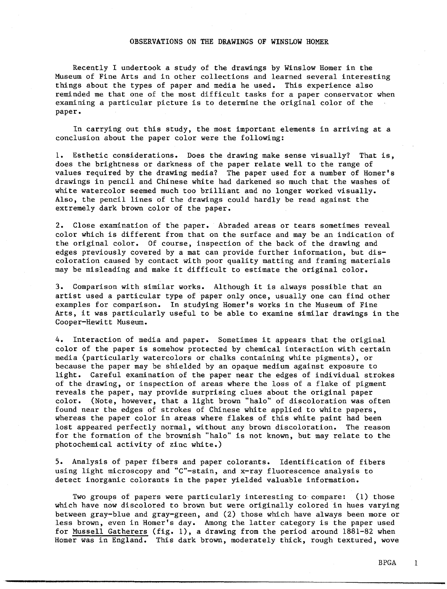## **OBSERVATIONS ON** THE **DRAWINGS OF WINSLOW HOMER**

Recently I undertook a study of the drawings by Winslow Homer in the Museum of Fine Arts and in other collections and learned several interesting things about the types of paper and media he used. This experience also reminded me that one of the most difficult tasks for a paper conservator when examining a particular picture is to determine the original color of the paper.

In carrying out this study, the most important elements in arriving at a conclusion about the paper color were the following:

1. Esthetic considerations. Does the drawing make sense visually? That is, does the brightness or darkness of the paper relate well to the range of values required by the drawing media? The paper used for a number of Homer's drawings in pencil and Chinese white had darkened so much that the washes of white watercolor seemed much too brilliant and no longer worked visually. Also, the pencil lines of the drawings could hardly be read against the extremely dark brown color of the paper.

2. Close examination of the paper. Abraded areas or tears sometimes reveal color which is different from that on the surface and may be an indication of the original color. Of course, inspection of the back of the drawing and edges previously covered by a mat can provide further information, but discoloration caused by contact with poor quality matting and framing materials may be misleading and make it difficult to estimate the original color.

3. Comparison with similar works. Although it is always possible that an artist used a particular type of paper only once, usually one can find other examples for comparison. In studying Homer's works in the Museum of Fine Arts, it was particularly useful to be able to examine similar drawings in the Cooper-Hewitt Museum.

4. Interaction of media and paper. Sometimes it appears that the original color of the paper is somehow protected by chemical interaction with certain media (particularly watercolors or chalks containing white pigments), or because the paper may be shielded by an opaque medium against exposure to light. Careful examination of the paper near the edges of individual strokes of the drawing, or inspection of areas where the loss of a flake of pigment reveals the paper, may provide surprising clues about the original paper color. (Note, however, that a light brown "halo" of discoloration was often found near the edges of strokes of Chinese white applied to white papers, whereas the paper color in areas where flakes of this white paint had been lost appeared perfectly normal, without any brown discoloration. The reason for the formation of the brownish "halo" is not known, but may relate to the photochemical activity of zinc white.)

5. Analysis of paper fibers and paper colorants. Identification of fibers using light microscopy and "C"-stain, and x-ray fluorescence analysis to detect inorganic colorants in the paper yielded valuable information.

Two groups of papers were particularly interesting to compare: (1) those which have now discolored to brown but were originally colored in hues varying between gray-blue and gray-green, and (2) those which have always been more or less brown, even in Homer's day. Among the latter category is the paper used for Mussell Gatherers (fig. 1), a drawing from the period around 1881-82 when Homer was in England. This dark brown, moderately thick, rough textured, wove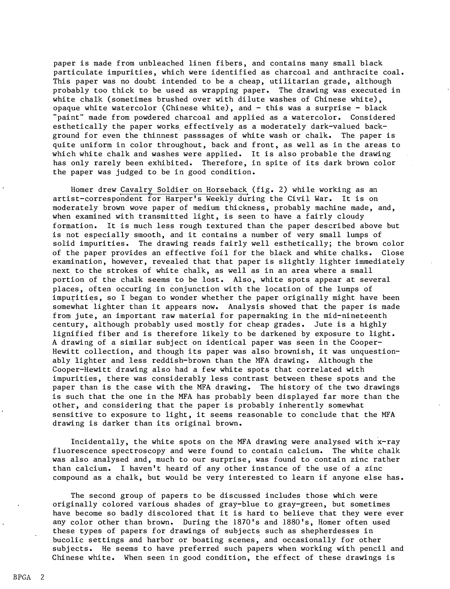paper is made from unbleached linen fibers, and contains many small black particulate impurities, which were identified as charcoal and anthracite coal. This paper was no doubt intended to be a cheap, utilitarian grade, although probably too thick to be used as wrapping paper. The drawing was executed in white chalk (sometimes brushed over with dilute washes of Chinese white), opaque white watercolor (Chinese white), and - this was a surprise - black "paint" made from powdered charcoal and applied as a watercolor. Considered esthetically the paper works, effectively as a moderately dark-valued background for even the thinnest passsages of white wash or chalk. The paper is quite uniform in color throughout, back and front, as well as in the areas to which white chalk and washes were applied. It is also probable the drawing has only rarely been exhibited. Therefore, in spite of its dark brown color the paper was judged to be in good condition.

Homer drew Cavalry Soldier on Horseback (fig. 2) while working as an artist-correspondent for Harper's Weekly during the Civil War. It is on moderately brown wove paper of medium thickness, probably machine made, and, when examined with transmitted light, is seen to have a fairly cloudy formation. It is much less rough textured than the paper described above but is not especially smooth, and it contains a number of very small lumps of solid impurities. The drawing reads fairly well esthetically; the brown color of the paper provides an effective foil for the black and white chalks. Close examination, however, revealed that that paper is slightly lighter immediately next to the strokes of white chalk, as well as in an area where a small portion of the chalk seems to be lost. Also, white spots appear at several places, often occuring in conjunction with the location of the lumps of impurities, so I began to wonder whether the paper originally might have been somewhat lighter than it appears now. Analysis showed that the paper is made from jute, an important raw material for papermaking in the mid-nineteenth century, although probably used mostly for cheap grades. Jute is a highly lignified fiber and is therefore likely to be darkened by exposure to light. A drawing of a similar subject on identical paper was seen in the Cooper-Hewitt collection, and though its paper was also brownish, it was unquestionably lighter and less reddish-brown than the MFA drawing. Although the Cooper-Hewitt drawing also had a few white spots that correlated with impurities, there was considerably less contrast between these spots and the paper than is the case with the MFA drawing. The history of the two drawings is such that the one in the MFA has probably been displayed far more than the other, and considering that the paper is probably inherently somewhat sensitive to exposure to light, it seems reasonable to conclude that the MFA drawing is darker than its original brown.

Incidentally, the white spots on the MFA drawing were analysed with x-ray fluorescence spectroscopy and were found to contain calcium. The white chalk was also analysed and, much to our surprise, was found to contain zinc rather than calcium. I haven't heard of any other instance of the use of a zinc compound as a chalk, but would be very interested to learn if anyone else has.

The second group of papers to be discussed includes those which were originally colored various shades of gray-blue to gray-green, but sometimes have become so badly discolored that it is hard to believe that they were ever any color other than brown. During the 1870's and 1880's, Homer often used these types of papers for drawings of subjects such as shepherdesses in bucolic settings and harbor or boating scenes, and occasionally for other subjects. He seems to have preferred such papers when working with pencil and Chinese white. When seen in good condition, the effect of these drawings is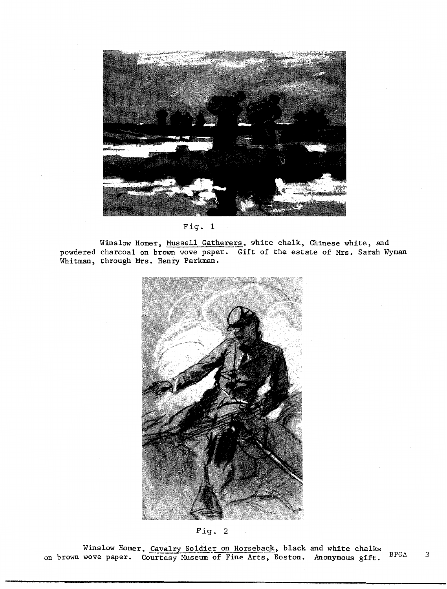

Fig. 1

Winslow Homer, Mussell Gatherers, white chalk, Chinese white, and powdered charcoal on brown wove paper. Gift of the estate of Mrs. Sarah Wyman Whitman, through Mrs. Henry Parkman.



Fig. 2

Winslow Homer, Cavalry Soldier on Horseback, black and white chalks on brown wove paper. Courtesy Museum of Fine Arts, Boston. Anonymous gift. BPGA 3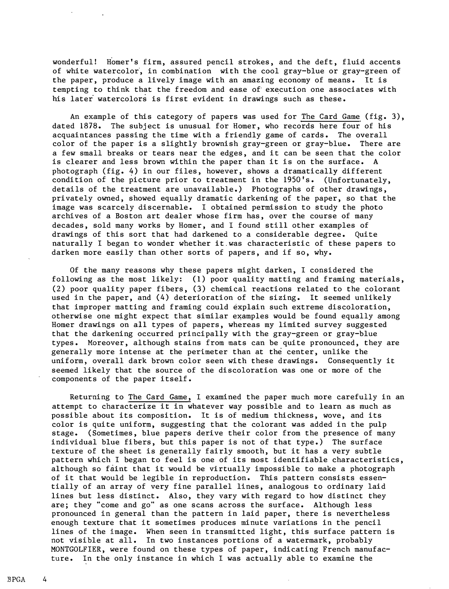wonderful! Homer's firm, assured pencil strokes, and the deft, fluid accents of white watercolor, in combination with the cool gray-blue or gray-green of the paper, produce a lively image with an amazing economy of means. It is tempting to think that the freedom and ease of execution one associates with his later watercolors is first evident in drawings such as these.

An example of this category of papers was used for The Card Game (fig. 3), dated 1878. The subject is unusual for Homer, who records here four of his acquaintances passing the time with a friendly game of cards. The overall color of the paper is a slightly brownish gray-green or gray-blue. There are a few small breaks or tears near the edges, and it can be seen that the color is clearer and less brown within the paper than it is on the surface. A photograph (fig. 4) in our files, however, shows a dramatically different condition of the picture prior to treatment in the 1950's. (Unfortunately, details of the treatment are unavailable.) Photographs of other drawings, privately owned, showed equally dramatic darkening of the paper, so that the image was scarcely discernable. I obtained permission to study the photo archives of a Boston art dealer whose firm has, over the course of many decades, sold many works by Homer, and I found still other examples of drawings of this sort that had darkened to a considerable degree. Quite naturally I began to wonder whether it was characteristic of these papers to darken more easily than other sorts of papers, and if so, why.

Of the many reasons why these papers might darken, I considered the following as the most likely: (1) poor quality matting and framing materials, (2) poor quality paper fibers, (3) chemical reactions related to the colorant used in the paper, and (4) deterioration of the sizing. It seemed unlikely that improper matting and framing could explain such extreme discoloration, otherwise one might expect that similar examples would be found equally among Homer drawings on all types of papers, whereas my limited survey suggested that the darkening occurred principally with the gray-green or gray-blue types. Moreover, although stains from mats can be quite pronounced, they are generally more intense at the perimeter than at the center, unlike the uniform, overall dark brown color seen with these drawings. Consequently it seemed likely that the source of the discoloration was one or more of the components of the paper itself.

Returning to The Card Game, I examined the paper much more carefully in an attempt to characterize it in whatever way possible and to learn as much as possible about its composition. It is of medium thickness, wove, and its color is quite uniform, suggesting that the colorant was added in the pulp stage. (Sometimes, blue papers derive their color from the presence of many individual blue fibers, but this paper is not of that type.) The surface texture of the sheet is generally fairly smooth, but it has a very subtle pattern which I began to feel is one of its most identifiable characteristics, although so faint that it would be virtually impossible to make a photograph of it that would be legible in reproduction. This pattern consists essentially of an array of very fine parallel lines, analogous to ordinary laid lines but less distinct. Also, they vary with regard to how distinct they are; they "come and go" as one scans across the surface. Although less pronounced in general than the pattern in laid paper, there is nevertheless enough texture that it sometimes produces minute variations in the pencil lines of the image. When seen in transmitted light, this surface pattern is not visible at all. In two instances portions of a watermark, probably MONTGOLFIER, were found on these types of paper, indicating French manufacture. In the only instance in which I was actually able to examine the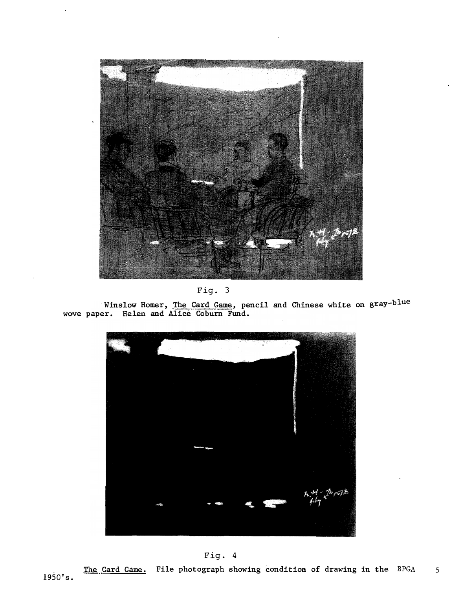

Fig. 3

**Winslow Homer, The Card Game.� pencil and Chinese white on gray-blue wove paper. Helen and Alice Co bum Fund.** 



Fig. 4

1950's. **The Card Game. File photograph showing condition of drawing in the BPGA** 5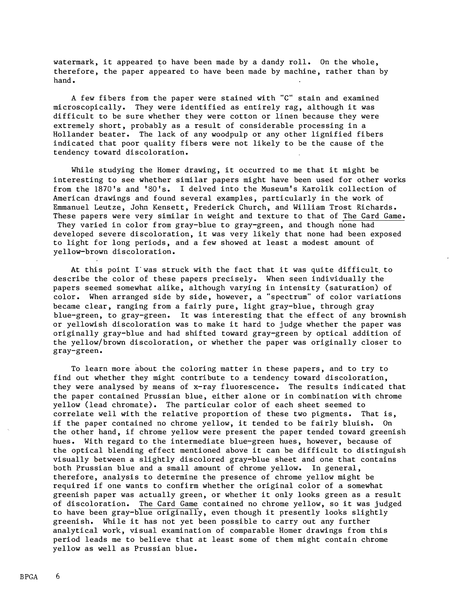watermark, it appeared to have been made by a dandy roll. On the whole, therefore, the paper appeared to have been made by machine, rather than by hand.

A few fibers from the paper were stained with "C" stain and examined microscopically. They were identified as entirely rag, although it was difficult to be sure whether they were cotton or linen because they were extremely short, probably as a result of considerable processing in a Hollander beater. The lack of any woodpulp or any other lignified fibers indicated that poor quality fibers were not likely to be the cause of the tendency toward discoloration.

While studying the Homer drawing, it occurred to me that it might be interesting to see whether similar papers might have been used for other works from the 187O's and '8O's. I delved into the Museum's Karolik collection of American drawings and found several examples, particularly in the work of Emmanuel Leutze, John Kensett, Frederick Church, and William Trost Richards. These papers were very similar in weight and texture to that of The Card Game. They varied in color from gray-blue to gray-green, and though none had developed severe discoloration, it was very likely that none had been exposed to light for long periods, and a few showed at least a modest amount of yellow-brown discoloration.

At this point I was struck with the fact that it was quite difficult to describe the color of these papers precisely. When seen individually the papers seemed somewhat alike, although varying in intensity (saturation) of color. When arranged side by side, however, a "spectrum" of color variations became clear, ranging from a fairly pure, light gray-blue, through gray blue-green, to gray-green. It was interesting that the effect of any brownish or yellowish discoloration was to make it hard to judge whether the paper was originally gray-blue and had shifted toward gray-green by optical addition of the yellow/brown discoloration, or whether the paper was originally closer to gray-green.

To learn more about the coloring matter in these papers, and to try to find out whether they might contribute to a tendency toward discoloration, they were analysed by means of x-ray fluorescence. The results indicated that the paper contained Prussian blue, either alone or in combination with chrome yellow (lead chromate). The particular color of each sheet seemed to correlate well with the relative proportion of these two pigments. That is, if the paper contained no chrome yellow, it tended to be fairly bluish. On the other hand, if chrome yellow were present the paper tended toward greenish hues. With regard to the intermediate blue-green hues, however, because of the optical blending effect mentioned above it can be difficult to distinguish visually between a slightly discolored gray-blue sheet and one that contains both Prussian blue and a small amount of chrome yellow. In general, therefore, analysis to determine the presence of chrome yellow might be required if one wants to confirm whether the original color of a somewhat greenish paper was actually green, or whether it only looks green as a result of discoloration. The Card Game contained no chrome yellow, so it was judged to have been gray-blue originally, even though it presently looks slightly greenish. While it has not yet been possible to carry out any further analytical work, visual examination of comparable Homer drawings from this period leads me to believe that at least some of them might contain chrome yellow as well as Prussian blue.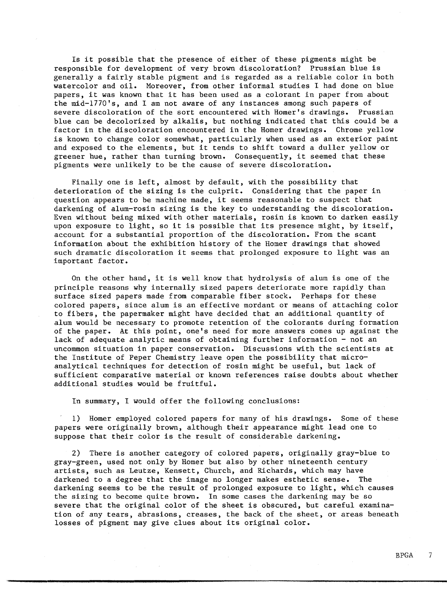Is it possible that the presence of either of these pigments might be responsible for development of very brown discoloration? Prussian blue is generally a fairly stable pigment and is regarded as a reliable color in both watercolor and oil. Moreover, from other informal studies I had done on blue papers, it was known that it has been used as a colorant in paper from about the mid-1770's, and I am not aware of any instances among such papers of severe discoloration of the sort encountered with Homer's drawings. Prussian blue can be decolorized by alkalis, but nothing indicated that this could be a factor in the discoloration encountered in the Homer drawings. Chrome yellow is known to change color somewhat, particularly when used as an exterior paint and exposed to the elements, but it tends to shift toward a duller yellow or greener hue, rather than turning brown. Consequently, it seemed that these pigments were unlikely to be the cause of severe discoloration.

Finally one is left, almost by default, with the possibility that deterioration of the sizing is the culprit. Considering that the paper in question appears to be machine made, it seems reasonable to suspect that darkening of alum-rosin sizing is the key to understanding the discoloration. Even without being mixed with other materials, rosin is known to darken easily upon exposure to light, so it is possible that its presence might, by itself, account for a substantial proportion of the discoloration. From the scant information about the exhibition history of the Homer drawings that showed such dramatic discoloration it seems that prolonged exposure to light was an important factor.

On the other hand, it is well know that hydrolysis of alum is one of the principle reasons why internally sized papers deteriorate more rapidly than surface sized papers made from comparable fiber stock. Perhaps for these colored papers, since alum is an effective mordant or means of attaching color to fibers, the papermaker might have decided that an additional quantity of alum would be necessary to promote retention of the colorants during formation of the paper. At this point, one's need for more answers comes up against the lack of adequate analytic means of obtaining further information - not an uncommon situation in paper conservation. Discussions with the scientists at the Institute of Peper Chemistry leave open the possibility that microanalytical techniques for detection of rosin might be useful, but lack of sufficient comparative material or known references raise doubts about whether additional studies would be fruitful.

In summary, I would offer the following conclusions:

1) Homer employed colored papers for many of his drawings. Some of these papers were originally brown, although their appearance might lead one to suppose that their color is the result of considerable darkening.

2) There is another category of colored papers, originally gray-blue to gray-green, used not only by Homer but also by other nineteenth century artists, such as Leutze, Kensett, Church, and Richards, which may have darkened to a degree that the image no longer makes esthetic sense. The darkening seems to be the result of prolonged exposure to light, which causes the sizing to become quite brown. In some cases the darkening may be so severe that the original color of the sheet is obscured, but careful examination of any tears, abrasions, creases, the back of the sheet, or areas beneath losses of pigment may give clues about its original color.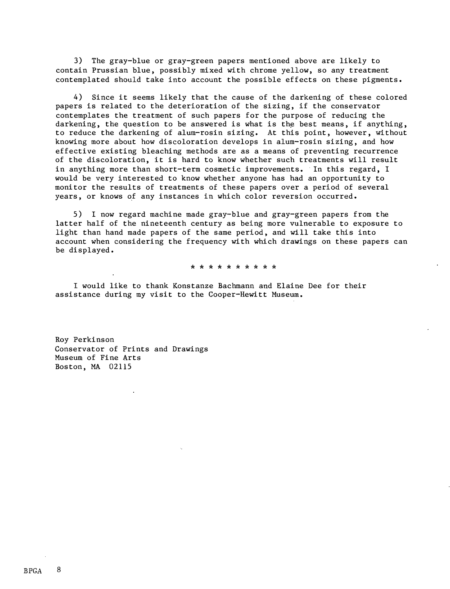3) The gray-blue or gray-green papers mentioned above are likely to contain Prussian blue, possibly mixed with chrome yellow, so any treatment contemplated should take into account the possible effects on these pigments.

4) Since it seems likely that the cause of the darkening of these colored papers is related to the deterioration of the sizing, if the conservator contemplates the treatment of such papers for the purpose of reducing the darkening, the question to be answered is what is the best means, if anything, to reduce the darkening of alum-rosin sizing. At this point, however, without knowing more about how discoloration develops in alum-rosin sizing, and how effective existing bleaching methods are as a means of preventing recurrence of the discoloration, it is hard to know whether such treatments will result in anything more than short-term cosmetic improvements. In this regard, I would be very interested to know whether anyone has had an opportunity to monitor the results of treatments of these papers over a period of several years, or knows of any instances in which color reversion occurred.

5) I now regard machine made gray-blue and gray-green papers from the latter half of the nineteenth century as being more vulnerable to exposure to light than hand made papers of the same period, and will take this into account when considering the frequency with which drawings on these papers can be displayed.

\* \* \* \* \* \* \* \* \* \*

I would like to thank Konstanze Bachmann and Elaine Dee for their assistance during my visit to the Cooper-Hewitt Museum.

Roy Perkinson Conservator of Prints and Drawings Museum of Fine Arts Boston, MA 02115